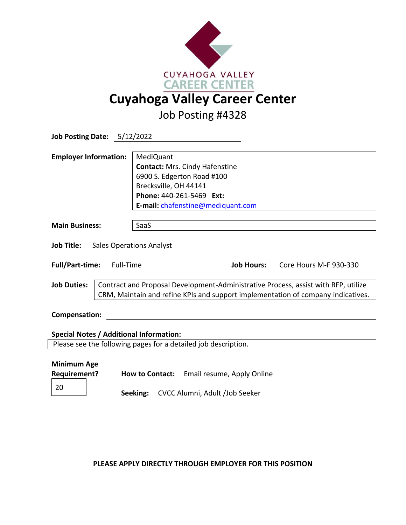

Job Posting #4328

|                                     | <b>Job Posting Date: 5/12/2022</b>                                                 |                                                                |                                |                        |  |  |  |
|-------------------------------------|------------------------------------------------------------------------------------|----------------------------------------------------------------|--------------------------------|------------------------|--|--|--|
| <b>Employer Information:</b>        |                                                                                    | <b>MediQuant</b>                                               |                                |                        |  |  |  |
|                                     |                                                                                    | <b>Contact: Mrs. Cindy Hafenstine</b>                          |                                |                        |  |  |  |
|                                     |                                                                                    | 6900 S. Edgerton Road #100                                     |                                |                        |  |  |  |
|                                     |                                                                                    | Brecksville, OH 44141                                          |                                |                        |  |  |  |
|                                     |                                                                                    | Phone: 440-261-5469 Ext:                                       |                                |                        |  |  |  |
|                                     |                                                                                    | E-mail: chafenstine@mediquant.com                              |                                |                        |  |  |  |
|                                     |                                                                                    |                                                                |                                |                        |  |  |  |
| <b>Main Business:</b>               |                                                                                    | SaaS                                                           |                                |                        |  |  |  |
|                                     |                                                                                    |                                                                |                                |                        |  |  |  |
| Job Title: Sales Operations Analyst |                                                                                    |                                                                |                                |                        |  |  |  |
|                                     |                                                                                    |                                                                |                                |                        |  |  |  |
| <b>Full/Part-time:</b>              | Full-Time                                                                          |                                                                | <b>Job Hours:</b>              | Core Hours M-F 930-330 |  |  |  |
|                                     |                                                                                    |                                                                |                                |                        |  |  |  |
| <b>Job Duties:</b>                  | Contract and Proposal Development-Administrative Process, assist with RFP, utilize |                                                                |                                |                        |  |  |  |
|                                     | CRM, Maintain and refine KPIs and support implementation of company indicatives.   |                                                                |                                |                        |  |  |  |
|                                     |                                                                                    |                                                                |                                |                        |  |  |  |
| <b>Compensation:</b>                |                                                                                    |                                                                |                                |                        |  |  |  |
|                                     |                                                                                    |                                                                |                                |                        |  |  |  |
|                                     |                                                                                    | <b>Special Notes / Additional Information:</b>                 |                                |                        |  |  |  |
|                                     |                                                                                    | Please see the following pages for a detailed job description. |                                |                        |  |  |  |
|                                     |                                                                                    |                                                                |                                |                        |  |  |  |
| <b>Minimum Age</b>                  |                                                                                    |                                                                |                                |                        |  |  |  |
| <b>Requirement?</b>                 |                                                                                    | How to Contact: Email resume, Apply Online                     |                                |                        |  |  |  |
| 20                                  |                                                                                    |                                                                |                                |                        |  |  |  |
|                                     |                                                                                    | Seeking:                                                       | CVCC Alumni, Adult /Job Seeker |                        |  |  |  |

**PLEASE APPLY DIRECTLY THROUGH EMPLOYER FOR THIS POSITION**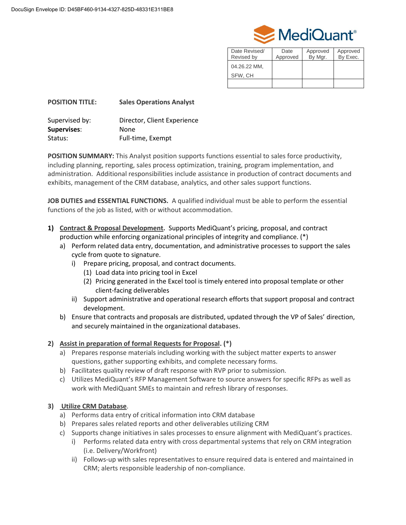

| Date Revised/<br>Revised by | Date<br>Approved | Approved<br>By Mgr. | Approved<br>By Exec. |
|-----------------------------|------------------|---------------------|----------------------|
| 04.26.22 MM,<br>SFW, CH     |                  |                     |                      |
|                             |                  |                     |                      |

| <b>POSITION TITLE:</b> | <b>Sales Operations Analyst</b> |
|------------------------|---------------------------------|
| Supervised by:         | Director, Client Experience     |
| <b>Supervises:</b>     | None                            |
| Status:                | Full-time, Exempt               |

**POSITION SUMMARY:** This Analyst position supports functions essential to sales force productivity, including planning, reporting, sales process optimization, training, program implementation, and administration. Additional responsibilities include assistance in production of contract documents and exhibits, management of the CRM database, analytics, and other sales support functions.

**JOB DUTIES and ESSENTIAL FUNCTIONS.** A qualified individual must be able to perform the essential functions of the job as listed, with or without accommodation.

- **1) Contract & Proposal Development.** Supports MediQuant's pricing, proposal, and contract production while enforcing organizational principles of integrity and compliance. (\*)
	- a) Perform related data entry, documentation, and administrative processes to support the sales cycle from quote to signature.
		- i) Prepare pricing, proposal, and contract documents.
			- (1) Load data into pricing tool in Excel
			- (2) Pricing generated in the Excel tool is timely entered into proposal template or other client-facing deliverables
		- ii) Support administrative and operational research efforts that support proposal and contract development.
	- b) Ensure that contracts and proposals are distributed, updated through the VP of Sales' direction, and securely maintained in the organizational databases.

# **2) Assist in preparation of formal Requests for Proposal. (\*)**

- a) Prepares response materials including working with the subject matter experts to answer questions, gather supporting exhibits, and complete necessary forms.
- b) Facilitates quality review of draft response with RVP prior to submission.
- c) Utilizes MediQuant's RFP Management Software to source answers for specific RFPs as well as work with MediQuant SMEs to maintain and refresh library of responses.

# **3) Utilize CRM Database**.

- a) Performs data entry of critical information into CRM database
- b) Prepares sales related reports and other deliverables utilizing CRM
- c) Supports change initiatives in sales processes to ensure alignment with MediQuant's practices.
	- i) Performs related data entry with cross departmental systems that rely on CRM integration (i.e. Delivery/Workfront)
	- ii) Follows-up with sales representatives to ensure required data is entered and maintained in CRM; alerts responsible leadership of non-compliance.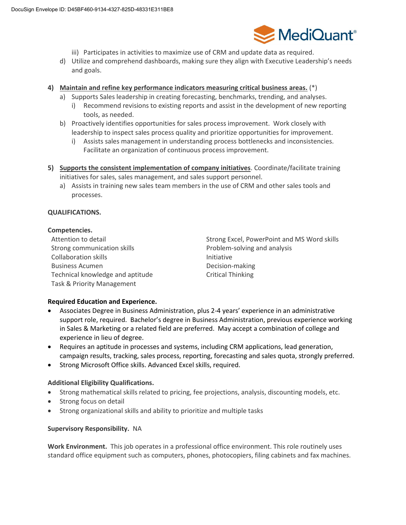

- iii) Participates in activities to maximize use of CRM and update data as required.
- d) Utilize and comprehend dashboards, making sure they align with Executive Leadership's needs and goals.

## **4) Maintain and refine key performance indicators measuring critical business areas.** (\*)

- a) Supports Sales leadership in creating forecasting, benchmarks, trending, and analyses.
	- i) Recommend revisions to existing reports and assist in the development of new reporting tools, as needed.
- b) Proactively identifies opportunities for sales process improvement. Work closely with leadership to inspect sales process quality and prioritize opportunities for improvement.
	- i) Assists sales management in understanding process bottlenecks and inconsistencies. Facilitate an organization of continuous process improvement.
- **5) Supports the consistent implementation of company initiatives**. Coordinate/facilitate training initiatives for sales, sales management, and sales support personnel.
	- a) Assists in training new sales team members in the use of CRM and other sales tools and processes.

## **QUALIFICATIONS.**

#### **Competencies.**

Strong communication skills **Problem-solving and analysis** Problem-solving and analysis Collaboration skills **Initiative** Initiative Business Acumen and a state of the Decision-making Technical knowledge and aptitude Thinking Critical Thinking Task & Priority Management

Attention to detail **Strong Excel, PowerPoint and MS Word skills** Strong Excel, PowerPoint and MS Word skills

## **Required Education and Experience.**

- Associates Degree in Business Administration, plus 2-4 years' experience in an administrative support role, required. Bachelor's degree in Business Administration, previous experience working in Sales & Marketing or a related field are preferred. May accept a combination of college and experience in lieu of degree.
- Requires an aptitude in processes and systems, including CRM applications, lead generation, campaign results, tracking, sales process, reporting, forecasting and sales quota, strongly preferred.
- Strong Microsoft Office skills. Advanced Excel skills, required.

## **Additional Eligibility Qualifications.**

- Strong mathematical skills related to pricing, fee projections, analysis, discounting models, etc.
- Strong focus on detail
- Strong organizational skills and ability to prioritize and multiple tasks

## **Supervisory Responsibility.** NA

**Work Environment.** This job operates in a professional office environment. This role routinely uses standard office equipment such as computers, phones, photocopiers, filing cabinets and fax machines.